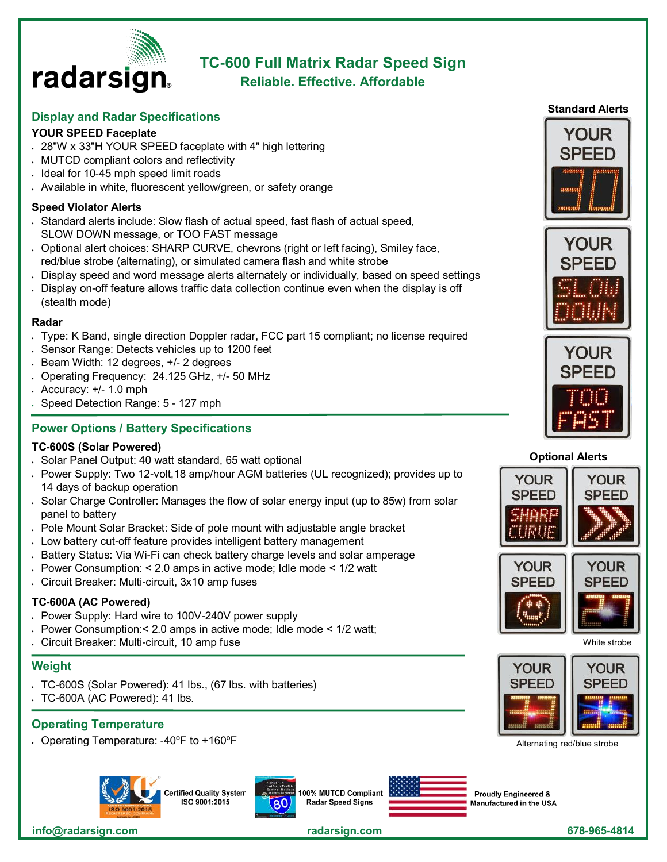

# **TC-600 Full Matrix Radar Speed Sign**

# **Reliable. Effective. Affordable**

## **Display and Radar Specifications**

## **YOUR SPEED Faceplate**

- 28"W x 33"H YOUR SPEED faceplate with 4" high lettering
- MUTCD compliant colors and reflectivity
- Ideal for 10-45 mph speed limit roads
- Available in white, fluorescent yellow/green, or safety orange

#### **Speed Violator Alerts**

- Standard alerts include: Slow flash of actual speed, fast flash of actual speed, SLOW DOWN message, or TOO FAST message
- Optional alert choices: SHARP CURVE, chevrons (right or left facing), Smiley face, red/blue strobe (alternating), or simulated camera flash and white strobe
- Display speed and word message alerts alternately or individually, based on speed settings
- Display on-off feature allows traffic data collection continue even when the display is off (stealth mode)

#### **Radar**

- Type: K Band, single direction Doppler radar, FCC part 15 compliant; no license required
- Sensor Range: Detects vehicles up to 1200 feet
- Beam Width: 12 degrees, +/- 2 degrees
- Operating Frequency: 24.125 GHz, +/- 50 MHz
- $\cdot$  Accuracy:  $+/- 1.0$  mph
- Speed Detection Range: 5 127 mph

## **Power Options / Battery Specifications**

#### **TC-600S (Solar Powered)**

- Solar Panel Output: 40 watt standard, 65 watt optional
- Power Supply: Two 12-volt,18 amp/hour AGM batteries (UL recognized); provides up to 14 days of backup operation
- Solar Charge Controller: Manages the flow of solar energy input (up to 85w) from solar panel to battery
- Pole Mount Solar Bracket: Side of pole mount with adjustable angle bracket
- Low battery cut-off feature provides intelligent battery management
- Battery Status: Via Wi-Fi can check battery charge levels and solar amperage
- Power Consumption: < 2.0 amps in active mode; Idle mode < 1/2 watt
- Circuit Breaker: Multi-circuit, 3x10 amp fuses

## **TC-600A (AC Powered)**

- Power Supply: Hard wire to 100V-240V power supply
- Power Consumption:< 2.0 amps in active mode; Idle mode < 1/2 watt;
- Circuit Breaker: Multi-circuit, 10 amp fuse

#### **Weight**

- TC-600S (Solar Powered): 41 lbs., (67 lbs. with batteries)
- TC-600A (AC Powered): 41 lbs.

## **Operating Temperature**

• Operating Temperature: -40ºF to +160ºF



**Certified Quality System** ISO 9001:2015



100% MUTCD Compliant Radar Speed Signs



**Proudly Engineered &** Manufactured in the USA









#### **Optional Alerts**



White strobe



Alternating red/blue strobe